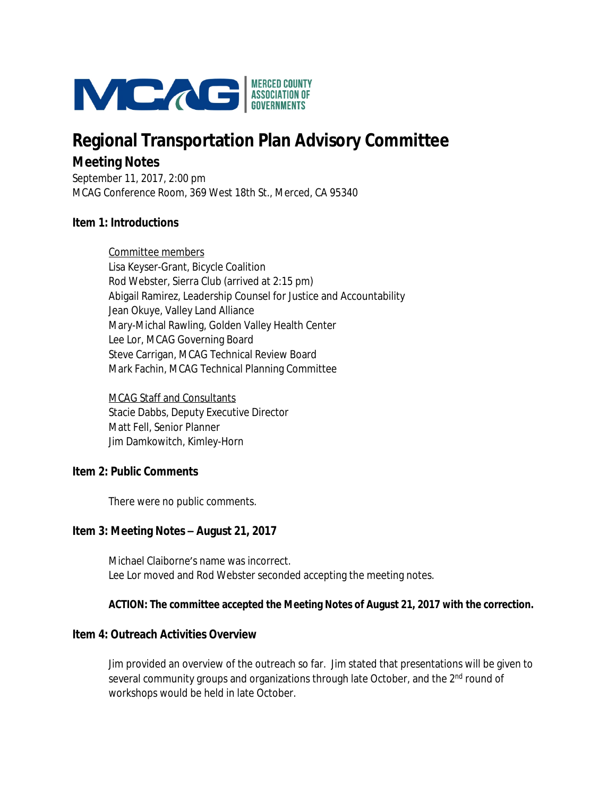

# **Regional Transportation Plan Advisory Committee Meeting Notes**

September 11, 2017, 2:00 pm MCAG Conference Room, 369 West 18th St., Merced, CA 95340

#### **Item 1: Introductions**

Committee members Lisa Keyser-Grant, Bicycle Coalition Rod Webster, Sierra Club (arrived at 2:15 pm) Abigail Ramirez, Leadership Counsel for Justice and Accountability Jean Okuye, Valley Land Alliance Mary-Michal Rawling, Golden Valley Health Center Lee Lor, MCAG Governing Board Steve Carrigan, MCAG Technical Review Board Mark Fachin, MCAG Technical Planning Committee

MCAG Staff and Consultants Stacie Dabbs, Deputy Executive Director Matt Fell, Senior Planner Jim Damkowitch, Kimley-Horn

#### **Item 2: Public Comments**

There were no public comments.

#### **Item 3: Meeting Notes – August 21, 2017**

Michael Claiborne's name was incorrect. Lee Lor moved and Rod Webster seconded accepting the meeting notes.

#### **ACTION: The committee accepted the Meeting Notes of August 21, 2017 with the correction.**

#### **Item 4: Outreach Activities Overview**

Jim provided an overview of the outreach so far. Jim stated that presentations will be given to several community groups and organizations through late October, and the 2<sup>nd</sup> round of workshops would be held in late October.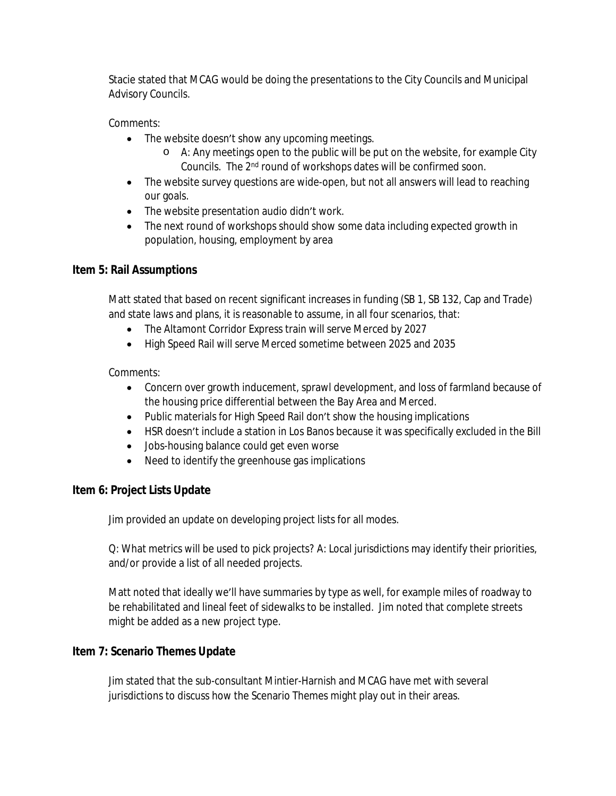Stacie stated that MCAG would be doing the presentations to the City Councils and Municipal Advisory Councils.

## Comments:

- The website doesn't show any upcoming meetings.
	- o A: Any meetings open to the public will be put on the website, for example City Councils. The 2nd round of workshops dates will be confirmed soon.
- The website survey questions are wide-open, but not all answers will lead to reaching our goals.
- The website presentation audio didn't work.
- The next round of workshops should show some data including expected growth in population, housing, employment by area

## **Item 5: Rail Assumptions**

Matt stated that based on recent significant increases in funding (SB 1, SB 132, Cap and Trade) and state laws and plans, it is reasonable to assume, in all four scenarios, that:

- The Altamont Corridor Express train will serve Merced by 2027
- High Speed Rail will serve Merced sometime between 2025 and 2035

## Comments:

- Concern over growth inducement, sprawl development, and loss of farmland because of the housing price differential between the Bay Area and Merced.
- Public materials for High Speed Rail don't show the housing implications
- HSR doesn't include a station in Los Banos because it was specifically excluded in the Bill
- Jobs-housing balance could get even worse
- Need to identify the greenhouse gas implications

# **Item 6: Project Lists Update**

Jim provided an update on developing project lists for all modes.

Q: What metrics will be used to pick projects? A: Local jurisdictions may identify their priorities, and/or provide a list of all needed projects.

Matt noted that ideally we'll have summaries by type as well, for example miles of roadway to be rehabilitated and lineal feet of sidewalks to be installed. Jim noted that complete streets might be added as a new project type.

## **Item 7: Scenario Themes Update**

Jim stated that the sub-consultant Mintier-Harnish and MCAG have met with several jurisdictions to discuss how the Scenario Themes might play out in their areas.